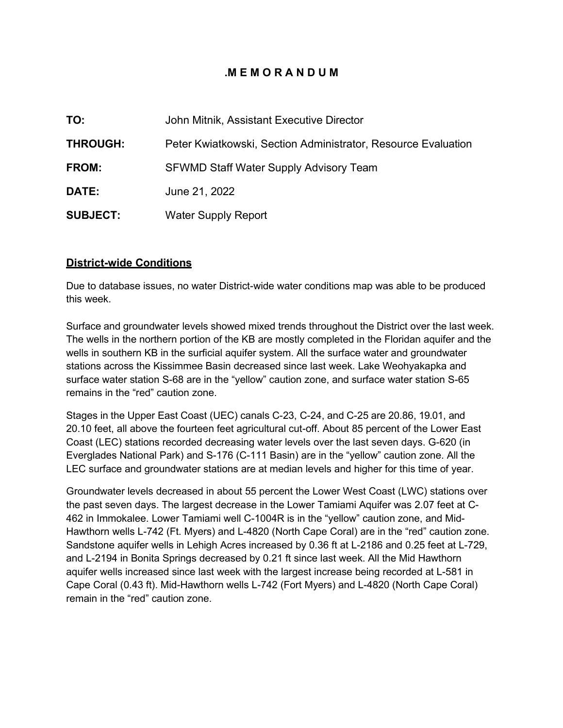# **.M E M O R A N D U M**

| TO:             | John Mitnik, Assistant Executive Director                     |  |
|-----------------|---------------------------------------------------------------|--|
| <b>THROUGH:</b> | Peter Kwiatkowski, Section Administrator, Resource Evaluation |  |
| FROM:           | <b>SFWMD Staff Water Supply Advisory Team</b>                 |  |
| <b>DATE:</b>    | June 21, 2022                                                 |  |
| <b>SUBJECT:</b> | <b>Water Supply Report</b>                                    |  |

## **District-wide Conditions**

Due to database issues, no water District-wide water conditions map was able to be produced this week.

Surface and groundwater levels showed mixed trends throughout the District over the last week. The wells in the northern portion of the KB are mostly completed in the Floridan aquifer and the wells in southern KB in the surficial aquifer system. All the surface water and groundwater stations across the Kissimmee Basin decreased since last week. Lake Weohyakapka and surface water station S-68 are in the "yellow" caution zone, and surface water station S-65 remains in the "red" caution zone.

Stages in the Upper East Coast (UEC) canals C-23, C-24, and C-25 are 20.86, 19.01, and 20.10 feet, all above the fourteen feet agricultural cut-off. About 85 percent of the Lower East Coast (LEC) stations recorded decreasing water levels over the last seven days. G-620 (in Everglades National Park) and S-176 (C-111 Basin) are in the "yellow" caution zone. All the LEC surface and groundwater stations are at median levels and higher for this time of year.

Groundwater levels decreased in about 55 percent the Lower West Coast (LWC) stations over the past seven days. The largest decrease in the Lower Tamiami Aquifer was 2.07 feet at C-462 in Immokalee. Lower Tamiami well C-1004R is in the "yellow" caution zone, and Mid-Hawthorn wells L-742 (Ft. Myers) and L-4820 (North Cape Coral) are in the "red" caution zone. Sandstone aquifer wells in Lehigh Acres increased by 0.36 ft at L-2186 and 0.25 feet at L-729, and L-2194 in Bonita Springs decreased by 0.21 ft since last week. All the Mid Hawthorn aquifer wells increased since last week with the largest increase being recorded at L-581 in Cape Coral (0.43 ft). Mid-Hawthorn wells L-742 (Fort Myers) and L-4820 (North Cape Coral) remain in the "red" caution zone.